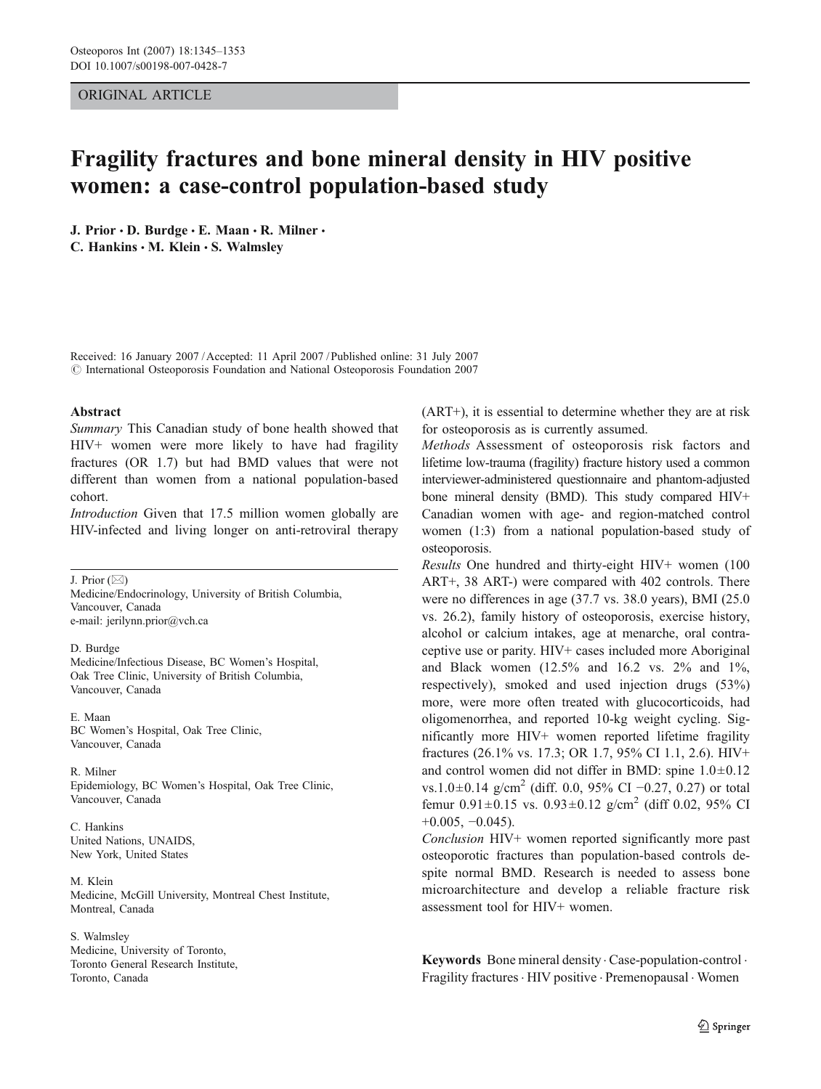# ORIGINAL ARTICLE

# Fragility fractures and bone mineral density in HIV positive women: a case-control population-based study

J. Prior  $\cdot$  D. Burdge  $\cdot$  E. Maan  $\cdot$  R. Milner  $\cdot$ C. Hankins . M. Klein . S. Walmsley

Received: 16 January 2007 /Accepted: 11 April 2007 / Published online: 31 July 2007  $\odot$  International Osteoporosis Foundation and National Osteoporosis Foundation 2007

# **Abstract**

Summary This Canadian study of bone health showed that HIV+ women were more likely to have had fragility fractures (OR 1.7) but had BMD values that were not different than women from a national population-based cohort.

Introduction Given that 17.5 million women globally are HIV-infected and living longer on anti-retroviral therapy

J. Prior  $(\boxtimes)$ Medicine/Endocrinology, University of British Columbia, Vancouver, Canada e-mail: jerilynn.prior@vch.ca

D. Burdge

Medicine/Infectious Disease, BC Women's Hospital, Oak Tree Clinic, University of British Columbia, Vancouver, Canada

E. Maan BC Women's Hospital, Oak Tree Clinic, Vancouver, Canada

R. Milner Epidemiology, BC Women's Hospital, Oak Tree Clinic, Vancouver, Canada

C. Hankins United Nations, UNAIDS, New York, United States

M. Klein Medicine, McGill University, Montreal Chest Institute, Montreal, Canada

S. Walmsley Medicine, University of Toronto, Toronto General Research Institute, Toronto, Canada

(ART+), it is essential to determine whether they are at risk for osteoporosis as is currently assumed.

Methods Assessment of osteoporosis risk factors and lifetime low-trauma (fragility) fracture history used a common interviewer-administered questionnaire and phantom-adjusted bone mineral density (BMD). This study compared HIV+ Canadian women with age- and region-matched control women (1:3) from a national population-based study of osteoporosis.

Results One hundred and thirty-eight HIV+ women (100 ART+, 38 ART-) were compared with 402 controls. There were no differences in age (37.7 vs. 38.0 years), BMI (25.0 vs. 26.2), family history of osteoporosis, exercise history, alcohol or calcium intakes, age at menarche, oral contraceptive use or parity. HIV+ cases included more Aboriginal and Black women (12.5% and 16.2 vs. 2% and 1%, respectively), smoked and used injection drugs (53%) more, were more often treated with glucocorticoids, had oligomenorrhea, and reported 10-kg weight cycling. Significantly more HIV+ women reported lifetime fragility fractures (26.1% vs. 17.3; OR 1.7, 95% CI 1.1, 2.6). HIV+ and control women did not differ in BMD: spine 1.0±0.12 vs.1.0±0.14 g/cm<sup>2</sup> (diff. 0.0, 95% CI −0.27, 0.27) or total femur  $0.91 \pm 0.15$  vs.  $0.93 \pm 0.12$  g/cm<sup>2</sup> (diff 0.02, 95% CI  $+0.005, -0.045$ ).

Conclusion HIV+ women reported significantly more past osteoporotic fractures than population-based controls despite normal BMD. Research is needed to assess bone microarchitecture and develop a reliable fracture risk assessment tool for HIV+ women.

Keywords Bone mineral density . Case-population-control . Fragility fractures. HIV positive . Premenopausal . Women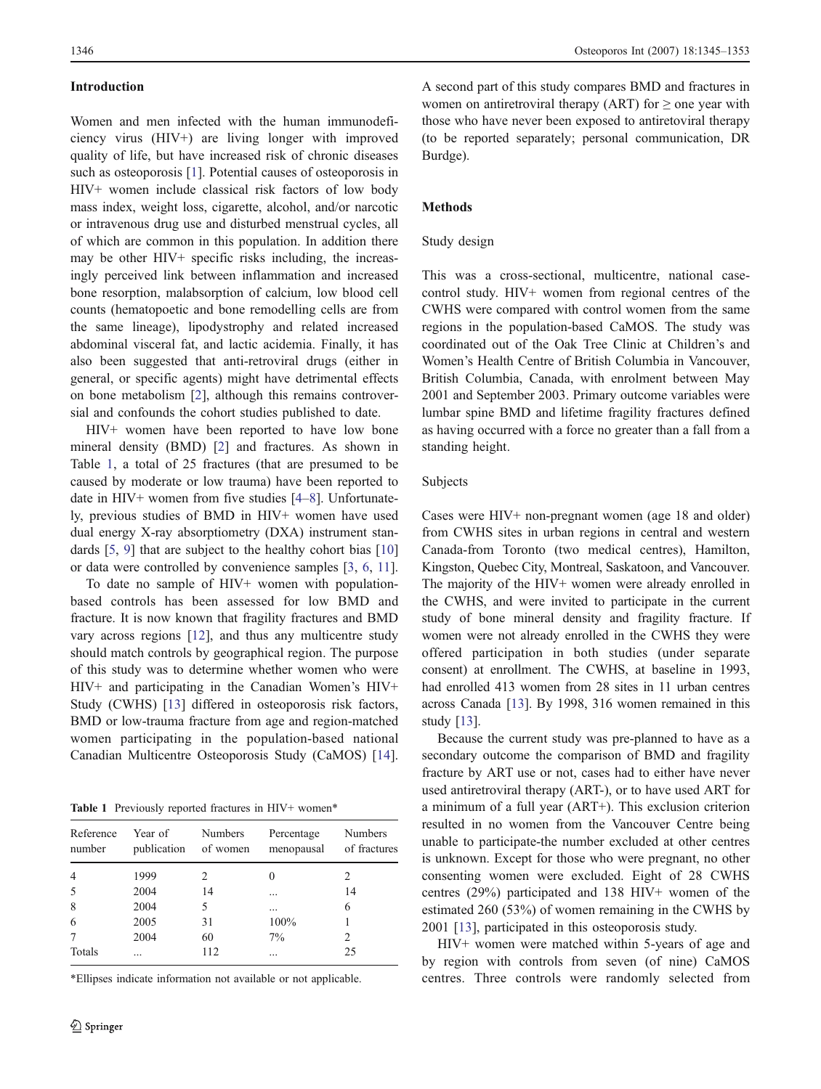# Introduction

Women and men infected with the human immunodeficiency virus (HIV+) are living longer with improved quality of life, but have increased risk of chronic diseases such as osteoporosis [1]. Potential causes of osteoporosis in HIV+ women include classical risk factors of low body mass index, weight loss, cigarette, alcohol, and/or narcotic or intravenous drug use and disturbed menstrual cycles, all of which are common in this population. In addition there may be other HIV+ specific risks including, the increasingly perceived link between inflammation and increased bone resorption, malabsorption of calcium, low blood cell counts (hematopoetic and bone remodelling cells are from the same lineage), lipodystrophy and related increased abdominal visceral fat, and lactic acidemia. Finally, it has also been suggested that anti-retroviral drugs (either in general, or specific agents) might have detrimental effects on bone metabolism [2], although this remains controversial and confounds the cohort studies published to date.

HIV+ women have been reported to have low bone mineral density (BMD) [2] and fractures. As shown in Table 1, a total of 25 fractures (that are presumed to be caused by moderate or low trauma) have been reported to date in HIV+ women from five studies [4–8]. Unfortunately, previous studies of BMD in HIV+ women have used dual energy X-ray absorptiometry (DXA) instrument standards [5, 9] that are subject to the healthy cohort bias [10] or data were controlled by convenience samples [3, 6, 11].

To date no sample of HIV+ women with populationbased controls has been assessed for low BMD and fracture. It is now known that fragility fractures and BMD vary across regions [12], and thus any multicentre study should match controls by geographical region. The purpose of this study was to determine whether women who were HIV+ and participating in the Canadian Women's HIV+ Study (CWHS) [13] differed in osteoporosis risk factors, BMD or low-trauma fracture from age and region-matched women participating in the population-based national Canadian Multicentre Osteoporosis Study (CaMOS) [14].

Table 1 Previously reported fractures in HIV+ women\*

| Reference<br>number | Year of<br>publication | <b>Numbers</b><br>of women | Percentage<br>menopausal | <b>Numbers</b><br>of fractures |
|---------------------|------------------------|----------------------------|--------------------------|--------------------------------|
| $\overline{4}$      | 1999                   | 2                          |                          | 2                              |
| 5                   | 2004                   | 14                         | $\cdots$                 | 14                             |
| 8                   | 2004                   | 5                          | $\cdots$                 | 6                              |
| 6                   | 2005                   | 31                         | 100%                     |                                |
| 7                   | 2004                   | 60                         | $7\%$                    | 2                              |
| Totals              |                        | 112                        |                          | 25                             |

\*Ellipses indicate information not available or not applicable.

A second part of this study compares BMD and fractures in women on antiretroviral therapy (ART) for  $\geq$  one year with those who have never been exposed to antiretoviral therapy (to be reported separately; personal communication, DR Burdge).

#### Methods

#### Study design

This was a cross-sectional, multicentre, national casecontrol study. HIV+ women from regional centres of the CWHS were compared with control women from the same regions in the population-based CaMOS. The study was coordinated out of the Oak Tree Clinic at Children's and Women's Health Centre of British Columbia in Vancouver, British Columbia, Canada, with enrolment between May 2001 and September 2003. Primary outcome variables were lumbar spine BMD and lifetime fragility fractures defined as having occurred with a force no greater than a fall from a standing height.

# Subjects

Cases were HIV+ non-pregnant women (age 18 and older) from CWHS sites in urban regions in central and western Canada-from Toronto (two medical centres), Hamilton, Kingston, Quebec City, Montreal, Saskatoon, and Vancouver. The majority of the HIV+ women were already enrolled in the CWHS, and were invited to participate in the current study of bone mineral density and fragility fracture. If women were not already enrolled in the CWHS they were offered participation in both studies (under separate consent) at enrollment. The CWHS, at baseline in 1993, had enrolled 413 women from 28 sites in 11 urban centres across Canada [13]. By 1998, 316 women remained in this study [13].

Because the current study was pre-planned to have as a secondary outcome the comparison of BMD and fragility fracture by ART use or not, cases had to either have never used antiretroviral therapy (ART-), or to have used ART for a minimum of a full year (ART+). This exclusion criterion resulted in no women from the Vancouver Centre being unable to participate-the number excluded at other centres is unknown. Except for those who were pregnant, no other consenting women were excluded. Eight of 28 CWHS centres (29%) participated and 138 HIV+ women of the estimated 260 (53%) of women remaining in the CWHS by 2001 [13], participated in this osteoporosis study.

HIV+ women were matched within 5-years of age and by region with controls from seven (of nine) CaMOS centres. Three controls were randomly selected from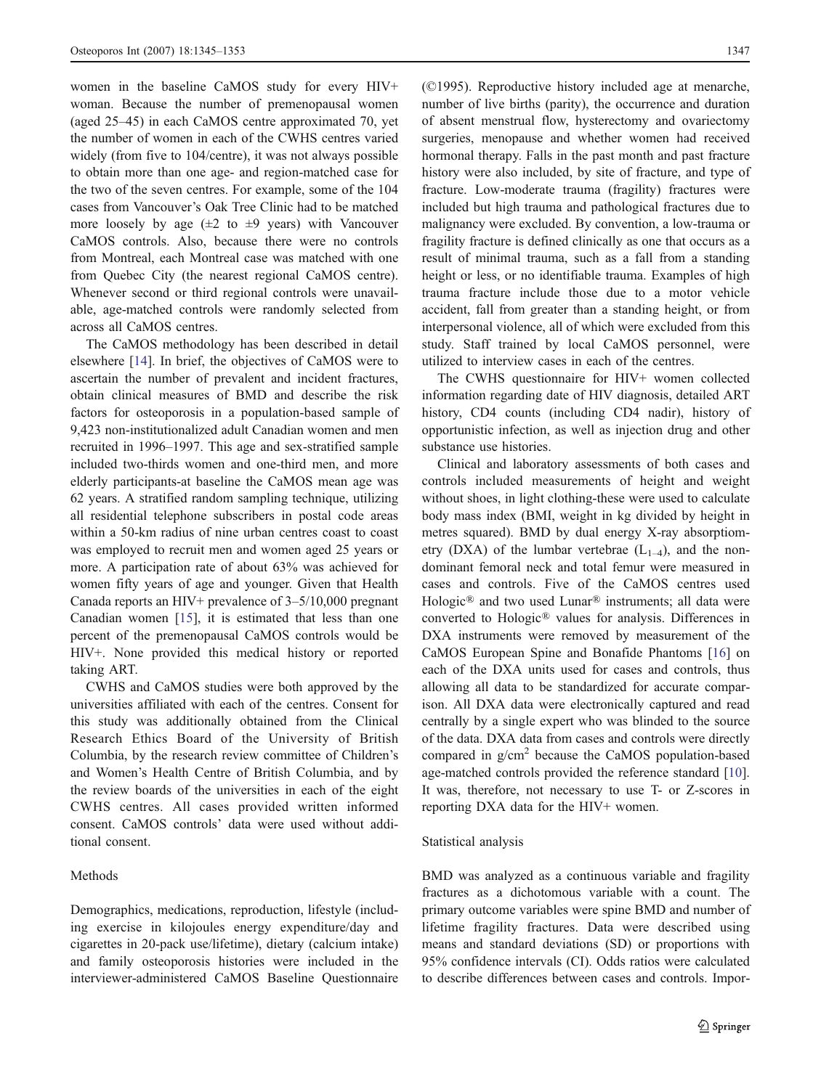women in the baseline CaMOS study for every HIV+ woman. Because the number of premenopausal women (aged 25–45) in each CaMOS centre approximated 70, yet the number of women in each of the CWHS centres varied widely (from five to 104/centre), it was not always possible to obtain more than one age- and region-matched case for the two of the seven centres. For example, some of the 104 cases from Vancouver's Oak Tree Clinic had to be matched more loosely by age  $(\pm 2$  to  $\pm 9$  years) with Vancouver CaMOS controls. Also, because there were no controls from Montreal, each Montreal case was matched with one from Quebec City (the nearest regional CaMOS centre). Whenever second or third regional controls were unavailable, age-matched controls were randomly selected from across all CaMOS centres.

The CaMOS methodology has been described in detail elsewhere [14]. In brief, the objectives of CaMOS were to ascertain the number of prevalent and incident fractures, obtain clinical measures of BMD and describe the risk factors for osteoporosis in a population-based sample of 9,423 non-institutionalized adult Canadian women and men recruited in 1996–1997. This age and sex-stratified sample included two-thirds women and one-third men, and more elderly participants-at baseline the CaMOS mean age was 62 years. A stratified random sampling technique, utilizing all residential telephone subscribers in postal code areas within a 50-km radius of nine urban centres coast to coast was employed to recruit men and women aged 25 years or more. A participation rate of about 63% was achieved for women fifty years of age and younger. Given that Health Canada reports an HIV+ prevalence of 3–5/10,000 pregnant Canadian women [15], it is estimated that less than one percent of the premenopausal CaMOS controls would be HIV+. None provided this medical history or reported taking ART.

CWHS and CaMOS studies were both approved by the universities affiliated with each of the centres. Consent for this study was additionally obtained from the Clinical Research Ethics Board of the University of British Columbia, by the research review committee of Children's and Women's Health Centre of British Columbia, and by the review boards of the universities in each of the eight CWHS centres. All cases provided written informed consent. CaMOS controls' data were used without additional consent.

# Methods

Demographics, medications, reproduction, lifestyle (including exercise in kilojoules energy expenditure/day and cigarettes in 20-pack use/lifetime), dietary (calcium intake) and family osteoporosis histories were included in the interviewer-administered CaMOS Baseline Questionnaire (©1995). Reproductive history included age at menarche, number of live births (parity), the occurrence and duration of absent menstrual flow, hysterectomy and ovariectomy surgeries, menopause and whether women had received hormonal therapy. Falls in the past month and past fracture history were also included, by site of fracture, and type of fracture. Low-moderate trauma (fragility) fractures were included but high trauma and pathological fractures due to malignancy were excluded. By convention, a low-trauma or fragility fracture is defined clinically as one that occurs as a result of minimal trauma, such as a fall from a standing height or less, or no identifiable trauma. Examples of high trauma fracture include those due to a motor vehicle accident, fall from greater than a standing height, or from interpersonal violence, all of which were excluded from this study. Staff trained by local CaMOS personnel, were utilized to interview cases in each of the centres.

The CWHS questionnaire for HIV+ women collected information regarding date of HIV diagnosis, detailed ART history, CD4 counts (including CD4 nadir), history of opportunistic infection, as well as injection drug and other substance use histories.

Clinical and laboratory assessments of both cases and controls included measurements of height and weight without shoes, in light clothing-these were used to calculate body mass index (BMI, weight in kg divided by height in metres squared). BMD by dual energy X-ray absorptiometry (DXA) of the lumbar vertebrae  $(L_{1-4})$ , and the nondominant femoral neck and total femur were measured in cases and controls. Five of the CaMOS centres used Hologic® and two used Lunar® instruments; all data were converted to Hologic® values for analysis. Differences in DXA instruments were removed by measurement of the CaMOS European Spine and Bonafide Phantoms [16] on each of the DXA units used for cases and controls, thus allowing all data to be standardized for accurate comparison. All DXA data were electronically captured and read centrally by a single expert who was blinded to the source of the data. DXA data from cases and controls were directly compared in  $g/cm<sup>2</sup>$  because the CaMOS population-based age-matched controls provided the reference standard [10]. It was, therefore, not necessary to use T- or Z-scores in reporting DXA data for the HIV+ women.

#### Statistical analysis

BMD was analyzed as a continuous variable and fragility fractures as a dichotomous variable with a count. The primary outcome variables were spine BMD and number of lifetime fragility fractures. Data were described using means and standard deviations (SD) or proportions with 95% confidence intervals (CI). Odds ratios were calculated to describe differences between cases and controls. Impor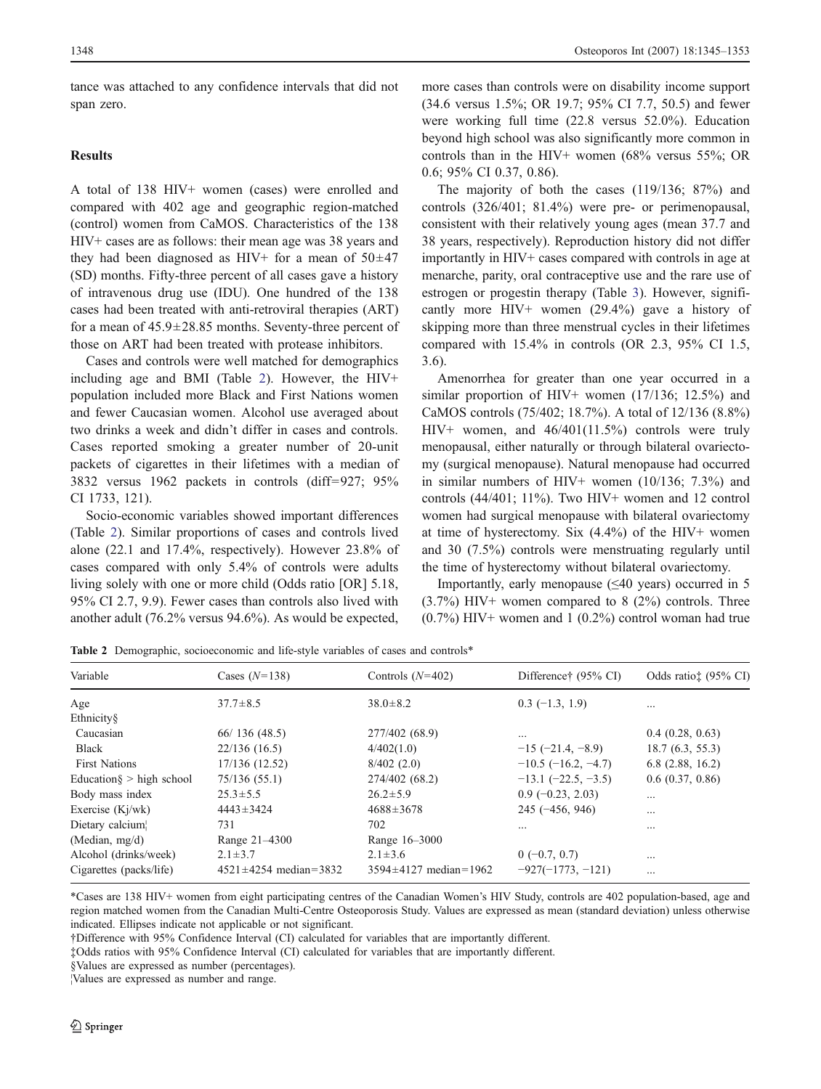tance was attached to any confidence intervals that did not span zero.

# **Results**

A total of 138 HIV+ women (cases) were enrolled and compared with 402 age and geographic region-matched (control) women from CaMOS. Characteristics of the 138 HIV+ cases are as follows: their mean age was 38 years and they had been diagnosed as HIV+ for a mean of  $50\pm47$ (SD) months. Fifty-three percent of all cases gave a history of intravenous drug use (IDU). One hundred of the 138 cases had been treated with anti-retroviral therapies (ART) for a mean of  $45.9 \pm 28.85$  months. Seventy-three percent of those on ART had been treated with protease inhibitors.

Cases and controls were well matched for demographics including age and BMI (Table 2). However, the HIV+ population included more Black and First Nations women and fewer Caucasian women. Alcohol use averaged about two drinks a week and didn't differ in cases and controls. Cases reported smoking a greater number of 20-unit packets of cigarettes in their lifetimes with a median of 3832 versus 1962 packets in controls (diff=927; 95% CI 1733, 121).

Socio-economic variables showed important differences (Table 2). Similar proportions of cases and controls lived alone (22.1 and 17.4%, respectively). However 23.8% of cases compared with only 5.4% of controls were adults living solely with one or more child (Odds ratio [OR] 5.18, 95% CI 2.7, 9.9). Fewer cases than controls also lived with another adult (76.2% versus 94.6%). As would be expected,

more cases than controls were on disability income support (34.6 versus 1.5%; OR 19.7; 95% CI 7.7, 50.5) and fewer were working full time (22.8 versus 52.0%). Education beyond high school was also significantly more common in controls than in the HIV+ women (68% versus 55%; OR 0.6; 95% CI 0.37, 0.86).

The majority of both the cases (119/136; 87%) and controls (326/401; 81.4%) were pre- or perimenopausal, consistent with their relatively young ages (mean 37.7 and 38 years, respectively). Reproduction history did not differ importantly in HIV+ cases compared with controls in age at menarche, parity, oral contraceptive use and the rare use of estrogen or progestin therapy (Table 3). However, significantly more HIV+ women (29.4%) gave a history of skipping more than three menstrual cycles in their lifetimes compared with 15.4% in controls (OR 2.3, 95% CI 1.5, 3.6).

Amenorrhea for greater than one year occurred in a similar proportion of HIV+ women (17/136; 12.5%) and CaMOS controls (75/402; 18.7%). A total of 12/136 (8.8%) HIV+ women, and 46/401(11.5%) controls were truly menopausal, either naturally or through bilateral ovariectomy (surgical menopause). Natural menopause had occurred in similar numbers of HIV+ women (10/136; 7.3%) and controls (44/401; 11%). Two HIV+ women and 12 control women had surgical menopause with bilateral ovariectomy at time of hysterectomy. Six  $(4.4\%)$  of the HIV+ women and 30 (7.5%) controls were menstruating regularly until the time of hysterectomy without bilateral ovariectomy.

Importantly, early menopause  $(\leq 40$  years) occurred in 5  $(3.7\%)$  HIV+ women compared to 8  $(2\%)$  controls. Three (0.7%) HIV+ women and 1 (0.2%) control woman had true

Table 2 Demographic, socioeconomic and life-style variables of cases and controls\*

| Variable                     | Cases $(N=138)$             | Controls $(N=402)$          | Difference† (95% CI)      | Odds ratio: (95% CI) |
|------------------------------|-----------------------------|-----------------------------|---------------------------|----------------------|
| Age                          | $37.7 \pm 8.5$              | $38.0 \pm 8.2$              | $0.3$ (-1.3, 1.9)         |                      |
| Ethnicity                    |                             |                             |                           |                      |
| Caucasian                    | 66/136(48.5)                | 277/402 (68.9)              | $\cdots$                  | 0.4(0.28, 0.63)      |
| <b>Black</b>                 | 22/136(16.5)                | 4/402(1.0)                  | $-15$ (-21.4, -8.9)       | 18.7(6.3, 55.3)      |
| <b>First Nations</b>         | 17/136 (12.52)              | 8/402(2.0)                  | $-10.5$ ( $-16.2, -4.7$ ) | 6.8(2.88, 16.2)      |
| Education $\S$ > high school | 75/136(55.1)                | 274/402 (68.2)              | $-13.1$ ( $-22.5, -3.5$ ) | 0.6(0.37, 0.86)      |
| Body mass index              | $25.3 \pm 5.5$              | $26.2 \pm 5.9$              | $0.9$ (-0.23, 2.03)       |                      |
| Exercise $(Kj/wk)$           | $4443 \pm 3424$             | $4688 \pm 3678$             | $245 (-456, 946)$         | $\cdots$             |
| Dietary calcium              | 731                         | 702                         | $\cdots$                  |                      |
| (Median, $mg/d$ )            | Range 21-4300               | Range 16-3000               |                           |                      |
| Alcohol (drinks/week)        | $2.1 \pm 3.7$               | $2.1 \pm 3.6$               | $0(-0.7, 0.7)$            | $\cdots$             |
| Cigarettes (packs/life)      | $4521 \pm 4254$ median=3832 | $3594 \pm 4127$ median=1962 | $-927(-1773, -121)$       | $\cdots$             |

\*Cases are 138 HIV+ women from eight participating centres of the Canadian Women's HIV Study, controls are 402 population-based, age and region matched women from the Canadian Multi-Centre Osteoporosis Study. Values are expressed as mean (standard deviation) unless otherwise indicated. Ellipses indicate not applicable or not significant.

†Difference with 95% Confidence Interval (CI) calculated for variables that are importantly different.

‡Odds ratios with 95% Confidence Interval (CI) calculated for variables that are importantly different.

§Values are expressed as number (percentages).

¦Values are expressed as number and range.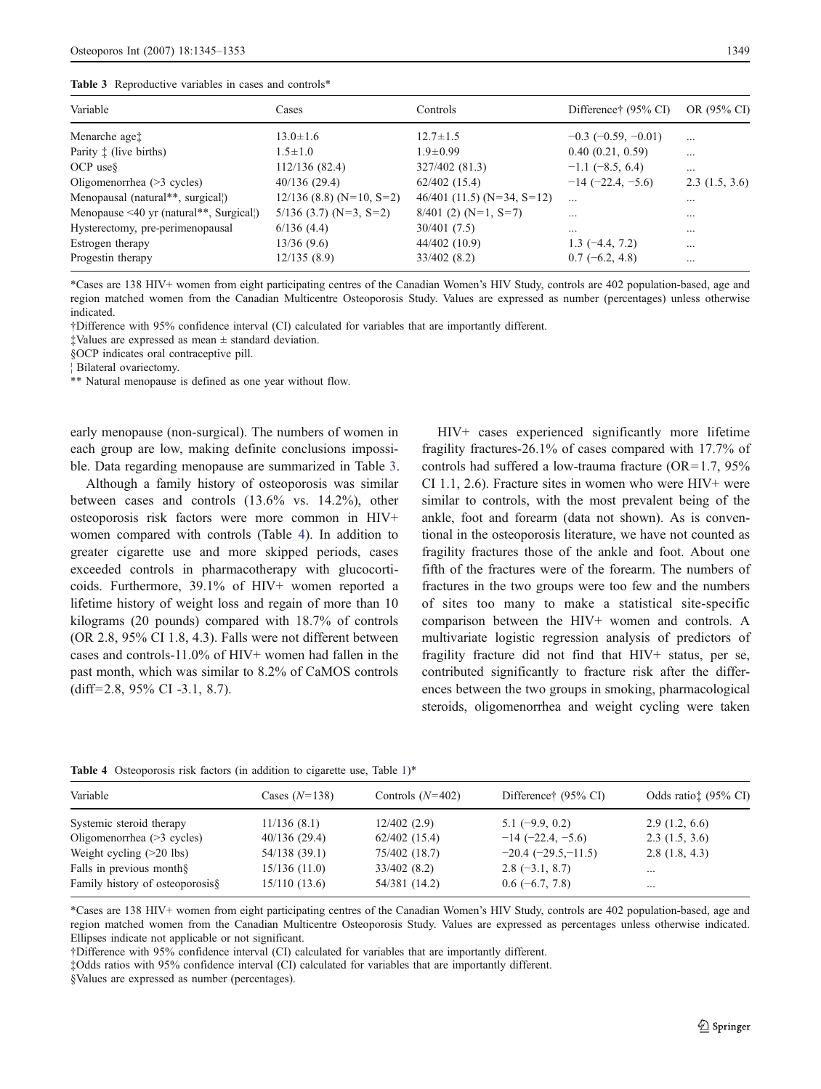|  | Table 3 Reproductive variables in cases and controls* |  |  |  |  |  |
|--|-------------------------------------------------------|--|--|--|--|--|
|--|-------------------------------------------------------|--|--|--|--|--|

| Variable                                     | Cases                      | Controls                     | Difference† (95% CI)         | OR (95% CI)   |
|----------------------------------------------|----------------------------|------------------------------|------------------------------|---------------|
| Menarche age <sup>†</sup>                    | $13.0 \pm 1.6$             | $12.7 \pm 1.5$               | $-0.3$ ( $-0.59$ , $-0.01$ ) | $\cdots$      |
| Parity $\ddagger$ (live births)              | $1.5 \pm 1.0$              | $1.9 \pm 0.99$               | 0.40(0.21, 0.59)             | $\cdots$      |
| OCP use $\delta$                             | 112/136 (82.4)             | 327/402 (81.3)               | $-1.1$ (-8.5, 6.4)           | $\cdots$      |
| Oligomenorrhea $($ >3 cycles $)$             | 40/136(29.4)               | $62/402$ $(15.4)$            | $-14$ (-22.4, -5.6)          | 2.3(1.5, 3.6) |
| Menopausal (natural**, surgical)             | $12/136$ (8.8) (N=10, S=2) | $46/401$ (11.5) (N=34, S=12) |                              | $\cdots$      |
| Menopause $\leq 40$ yr (natural**, Surgical) | $5/136$ (3.7) (N=3, S=2)   | $8/401$ (2) (N=1, S=7)       | $\cdots$                     | $\cdots$      |
| Hysterectomy, pre-perimenopausal             | 6/136(4.4)                 | 30/401(7.5)                  | $\cdots$                     | $\cdots$      |
| Estrogen therapy                             | 13/36(9.6)                 | 44/402(10.9)                 | $1.3(-4.4, 7.2)$             | $\cdots$      |
| Progestin therapy                            | 12/135(8.9)                | 33/402(8.2)                  | $0.7(-6.2, 4.8)$             | $\cdots$      |

\*Cases are 138 HIV+ women from eight participating centres of the Canadian Women's HIV Study, controls are 402 population-based, age and region matched women from the Canadian Multicentre Osteoporosis Study. Values are expressed as number (percentages) unless otherwise indicated.

†Difference with 95% confidence interval (CI) calculated for variables that are importantly different.

‡Values are expressed as mean ± standard deviation.

§OCP indicates oral contraceptive pill.

¦ Bilateral ovariectomy.

\*\* Natural menopause is defined as one year without flow.

early menopause (non-surgical). The numbers of women in each group are low, making definite conclusions impossible. Data regarding menopause are summarized in Table 3.

Although a family history of osteoporosis was similar between cases and controls (13.6% vs. 14.2%), other osteoporosis risk factors were more common in HIV+ women compared with controls (Table 4). In addition to greater cigarette use and more skipped periods, cases exceeded controls in pharmacotherapy with glucocorticoids. Furthermore, 39.1% of HIV+ women reported a lifetime history of weight loss and regain of more than 10 kilograms (20 pounds) compared with 18.7% of controls (OR 2.8, 95% CI 1.8, 4.3). Falls were not different between cases and controls-11.0% of HIV+ women had fallen in the past month, which was similar to 8.2% of CaMOS controls (diff=2.8, 95% CI -3.1, 8.7).

HIV+ cases experienced significantly more lifetime fragility fractures-26.1% of cases compared with 17.7% of controls had suffered a low-trauma fracture (OR=1.7, 95% CI 1.1, 2.6). Fracture sites in women who were HIV+ were similar to controls, with the most prevalent being of the ankle, foot and forearm (data not shown). As is conventional in the osteoporosis literature, we have not counted as fragility fractures those of the ankle and foot. About one fifth of the fractures were of the forearm. The numbers of fractures in the two groups were too few and the numbers of sites too many to make a statistical site-specific comparison between the HIV+ women and controls. A multivariate logistic regression analysis of predictors of fragility fracture did not find that HIV+ status, per se, contributed significantly to fracture risk after the differences between the two groups in smoking, pharmacological steroids, oligomenorrhea and weight cycling were taken

|  | <b>Table 4</b> Osteoporosis risk factors (in addition to cigarette use, Table 1)* |  |  |  |  |  |  |  |  |  |  |
|--|-----------------------------------------------------------------------------------|--|--|--|--|--|--|--|--|--|--|
|--|-----------------------------------------------------------------------------------|--|--|--|--|--|--|--|--|--|--|

| Variable                        | Cases $(N=138)$ | Controls $(N=402)$ | Difference† $(95\% \text{ CI})$ | Odds ratio: (95% CI) |  |
|---------------------------------|-----------------|--------------------|---------------------------------|----------------------|--|
| Systemic steroid therapy        | 11/136(8.1)     | 12/402(2.9)        | $5.1(-9.9, 0.2)$                | 2.9(1.2, 6.6)        |  |
| Oligomenorrhea $(>3$ cycles)    | 40/136(29.4)    | $62/402$ (15.4)    | $-14$ (-22.4, -5.6)             | 2.3(1.5, 3.6)        |  |
| Weight cycling $(>20$ lbs)      | 54/138 (39.1)   | 75/402 (18.7)      | $-20.4$ $(-29.5,-11.5)$         | 2.8(1.8, 4.3)        |  |
| Falls in previous months        | 15/136(11.0)    | 33/402(8.2)        | $2.8(-3.1, 8.7)$                | $\cdots$             |  |
| Family history of osteoporosis§ | 15/110(13.6)    | 54/381 (14.2)      | $0.6$ (-6.7, 7.8)               | $\cdots$             |  |

\*Cases are 138 HIV+ women from eight participating centres of the Canadian Women's HIV Study, controls are 402 population-based, age and region matched women from the Canadian Multicentre Osteoporosis Study. Values are expressed as percentages unless otherwise indicated. Ellipses indicate not applicable or not significant.

†Difference with 95% confidence interval (CI) calculated for variables that are importantly different.

‡Odds ratios with 95% confidence interval (CI) calculated for variables that are importantly different.

§Values are expressed as number (percentages).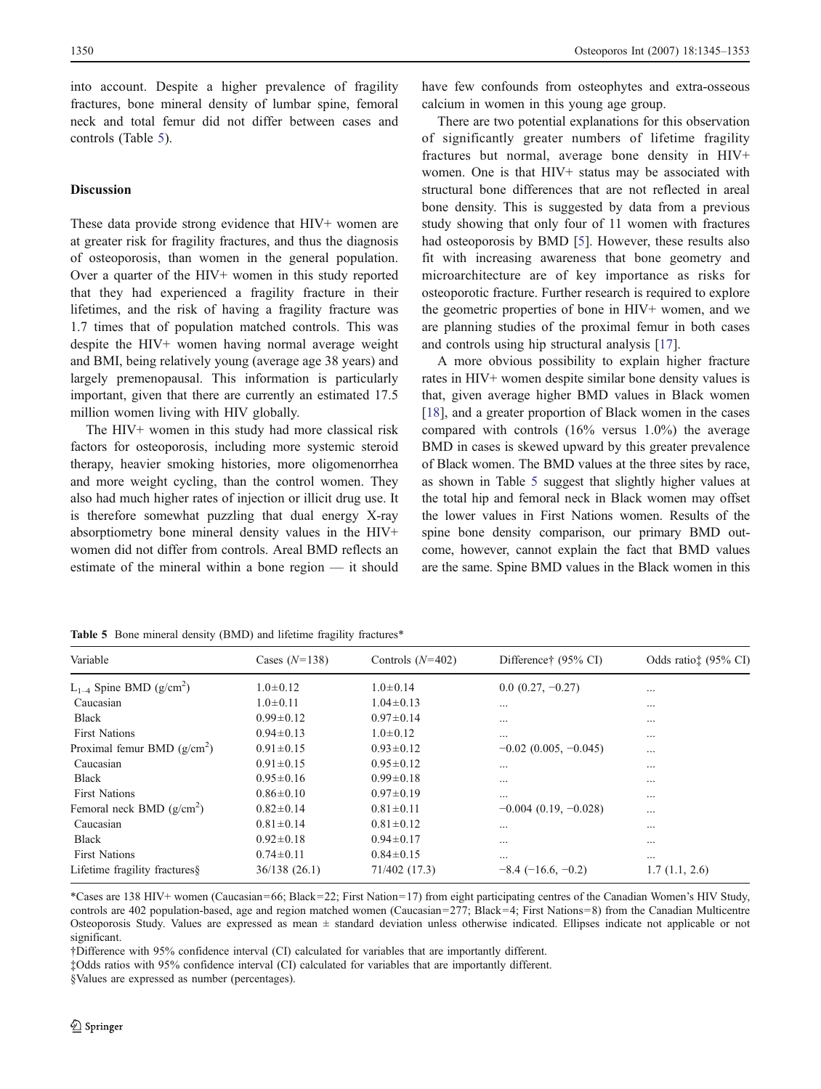into account. Despite a higher prevalence of fragility fractures, bone mineral density of lumbar spine, femoral neck and total femur did not differ between cases and controls (Table 5).

# Discussion

These data provide strong evidence that HIV+ women are at greater risk for fragility fractures, and thus the diagnosis of osteoporosis, than women in the general population. Over a quarter of the HIV+ women in this study reported that they had experienced a fragility fracture in their lifetimes, and the risk of having a fragility fracture was 1.7 times that of population matched controls. This was despite the HIV+ women having normal average weight and BMI, being relatively young (average age 38 years) and largely premenopausal. This information is particularly important, given that there are currently an estimated 17.5 million women living with HIV globally.

The HIV+ women in this study had more classical risk factors for osteoporosis, including more systemic steroid therapy, heavier smoking histories, more oligomenorrhea and more weight cycling, than the control women. They also had much higher rates of injection or illicit drug use. It is therefore somewhat puzzling that dual energy X-ray absorptiometry bone mineral density values in the HIV+ women did not differ from controls. Areal BMD reflects an estimate of the mineral within a bone region — it should have few confounds from osteophytes and extra-osseous calcium in women in this young age group.

There are two potential explanations for this observation of significantly greater numbers of lifetime fragility fractures but normal, average bone density in HIV+ women. One is that HIV+ status may be associated with structural bone differences that are not reflected in areal bone density. This is suggested by data from a previous study showing that only four of 11 women with fractures had osteoporosis by BMD [5]. However, these results also fit with increasing awareness that bone geometry and microarchitecture are of key importance as risks for osteoporotic fracture. Further research is required to explore the geometric properties of bone in HIV+ women, and we are planning studies of the proximal femur in both cases and controls using hip structural analysis [17].

A more obvious possibility to explain higher fracture rates in HIV+ women despite similar bone density values is that, given average higher BMD values in Black women [18], and a greater proportion of Black women in the cases compared with controls (16% versus 1.0%) the average BMD in cases is skewed upward by this greater prevalence of Black women. The BMD values at the three sites by race, as shown in Table 5 suggest that slightly higher values at the total hip and femoral neck in Black women may offset the lower values in First Nations women. Results of the spine bone density comparison, our primary BMD outcome, however, cannot explain the fact that BMD values are the same. Spine BMD values in the Black women in this

Table 5 Bone mineral density (BMD) and lifetime fragility fractures\*

| Variable                                 | Cases $(N=138)$ | Controls $(N=402)$ | Difference† (95% CI)        | Odds ratiot (95% CI) |  |
|------------------------------------------|-----------------|--------------------|-----------------------------|----------------------|--|
| $L_{1-4}$ Spine BMD (g/cm <sup>2</sup> ) | $1.0 \pm 0.12$  | $1.0 \pm 0.14$     | $0.0$ $(0.27, -0.27)$       |                      |  |
| Caucasian                                | $1.0 \pm 0.11$  | $1.04 \pm 0.13$    |                             |                      |  |
| <b>Black</b>                             | $0.99 \pm 0.12$ | $0.97 \pm 0.14$    |                             |                      |  |
| <b>First Nations</b>                     | $0.94 \pm 0.13$ | $1.0 \pm 0.12$     |                             |                      |  |
| Proximal femur BMD $(g/cm2)$             | $0.91 \pm 0.15$ | $0.93 \pm 0.12$    | $-0.02$ (0.005, $-0.045$ )  |                      |  |
| Caucasian                                | $0.91 \pm 0.15$ | $0.95 \pm 0.12$    |                             | $\cdots$             |  |
| <b>Black</b>                             | $0.95 \pm 0.16$ | $0.99 \pm 0.18$    |                             |                      |  |
| <b>First Nations</b>                     | $0.86 \pm 0.10$ | $0.97 \pm 0.19$    |                             |                      |  |
| Femoral neck BMD $(g/cm^2)$              | $0.82 \pm 0.14$ | $0.81 \pm 0.11$    | $-0.004(0.19, -0.028)$      | $\cdots$             |  |
| Caucasian                                | $0.81 \pm 0.14$ | $0.81 \pm 0.12$    |                             | $\cdots$             |  |
| <b>Black</b>                             | $0.92 \pm 0.18$ | $0.94 \pm 0.17$    |                             |                      |  |
| <b>First Nations</b>                     | $0.74 \pm 0.11$ | $0.84 \pm 0.15$    |                             |                      |  |
| Lifetime fragility fractures &           | 36/138(26.1)    | 71/402 (17.3)      | $-8.4$ ( $-16.6$ , $-0.2$ ) | 1.7(1.1, 2.6)        |  |

\*Cases are 138 HIV+ women (Caucasian=66; Black=22; First Nation=17) from eight participating centres of the Canadian Women's HIV Study, controls are 402 population-based, age and region matched women (Caucasian=277; Black=4; First Nations=8) from the Canadian Multicentre Osteoporosis Study. Values are expressed as mean ± standard deviation unless otherwise indicated. Ellipses indicate not applicable or not significant.

†Difference with 95% confidence interval (CI) calculated for variables that are importantly different.

‡Odds ratios with 95% confidence interval (CI) calculated for variables that are importantly different.

§Values are expressed as number (percentages).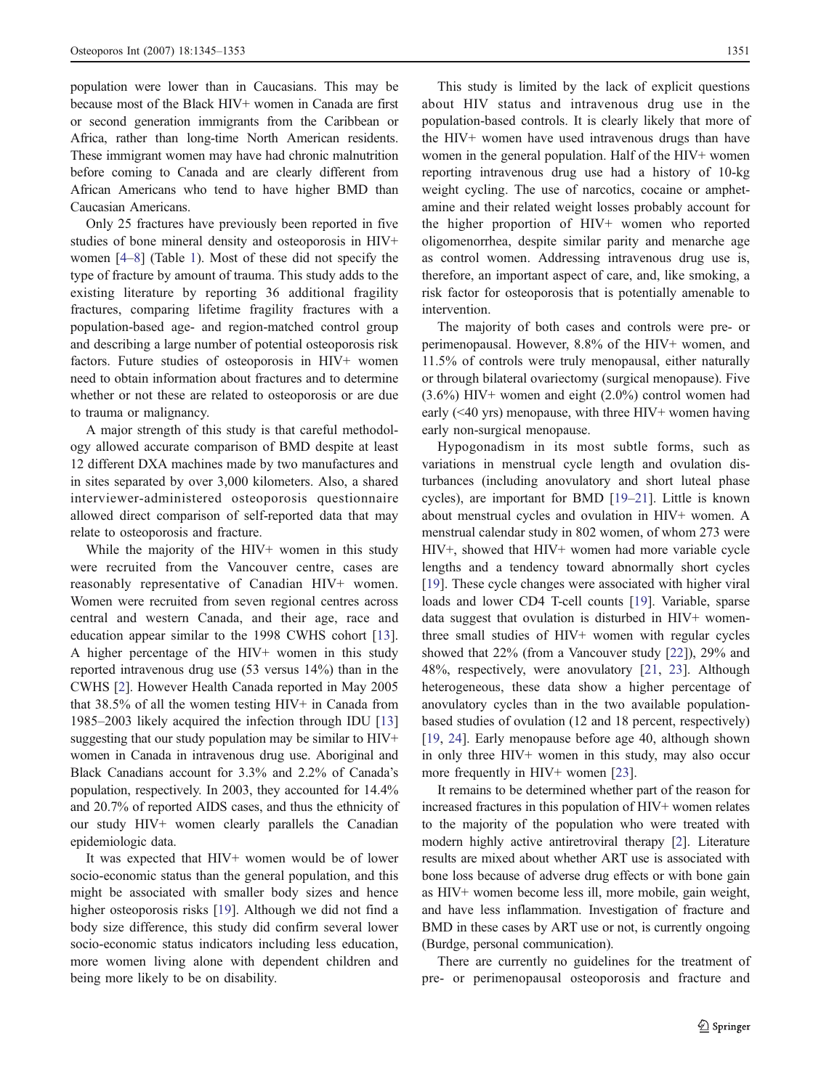population were lower than in Caucasians. This may be because most of the Black HIV+ women in Canada are first or second generation immigrants from the Caribbean or Africa, rather than long-time North American residents. These immigrant women may have had chronic malnutrition before coming to Canada and are clearly different from African Americans who tend to have higher BMD than Caucasian Americans.

Only 25 fractures have previously been reported in five studies of bone mineral density and osteoporosis in HIV+ women [4–8] (Table 1). Most of these did not specify the type of fracture by amount of trauma. This study adds to the existing literature by reporting 36 additional fragility fractures, comparing lifetime fragility fractures with a population-based age- and region-matched control group and describing a large number of potential osteoporosis risk factors. Future studies of osteoporosis in HIV+ women need to obtain information about fractures and to determine whether or not these are related to osteoporosis or are due to trauma or malignancy.

A major strength of this study is that careful methodology allowed accurate comparison of BMD despite at least 12 different DXA machines made by two manufactures and in sites separated by over 3,000 kilometers. Also, a shared interviewer-administered osteoporosis questionnaire allowed direct comparison of self-reported data that may relate to osteoporosis and fracture.

While the majority of the HIV+ women in this study were recruited from the Vancouver centre, cases are reasonably representative of Canadian HIV+ women. Women were recruited from seven regional centres across central and western Canada, and their age, race and education appear similar to the 1998 CWHS cohort [13]. A higher percentage of the HIV+ women in this study reported intravenous drug use (53 versus 14%) than in the CWHS [2]. However Health Canada reported in May 2005 that 38.5% of all the women testing HIV+ in Canada from 1985–2003 likely acquired the infection through IDU [13] suggesting that our study population may be similar to HIV+ women in Canada in intravenous drug use. Aboriginal and Black Canadians account for 3.3% and 2.2% of Canada's population, respectively. In 2003, they accounted for 14.4% and 20.7% of reported AIDS cases, and thus the ethnicity of our study HIV+ women clearly parallels the Canadian epidemiologic data.

It was expected that HIV+ women would be of lower socio-economic status than the general population, and this might be associated with smaller body sizes and hence higher osteoporosis risks [19]. Although we did not find a body size difference, this study did confirm several lower socio-economic status indicators including less education, more women living alone with dependent children and being more likely to be on disability.

This study is limited by the lack of explicit questions about HIV status and intravenous drug use in the population-based controls. It is clearly likely that more of the HIV+ women have used intravenous drugs than have women in the general population. Half of the HIV+ women reporting intravenous drug use had a history of 10-kg weight cycling. The use of narcotics, cocaine or amphetamine and their related weight losses probably account for the higher proportion of HIV+ women who reported oligomenorrhea, despite similar parity and menarche age as control women. Addressing intravenous drug use is, therefore, an important aspect of care, and, like smoking, a risk factor for osteoporosis that is potentially amenable to intervention.

The majority of both cases and controls were pre- or perimenopausal. However, 8.8% of the HIV+ women, and 11.5% of controls were truly menopausal, either naturally or through bilateral ovariectomy (surgical menopause). Five (3.6%) HIV+ women and eight (2.0%) control women had early (<40 yrs) menopause, with three HIV+ women having early non-surgical menopause.

Hypogonadism in its most subtle forms, such as variations in menstrual cycle length and ovulation disturbances (including anovulatory and short luteal phase cycles), are important for BMD [19–21]. Little is known about menstrual cycles and ovulation in HIV+ women. A menstrual calendar study in 802 women, of whom 273 were HIV+, showed that HIV+ women had more variable cycle lengths and a tendency toward abnormally short cycles [19]. These cycle changes were associated with higher viral loads and lower CD4 T-cell counts [19]. Variable, sparse data suggest that ovulation is disturbed in HIV+ womenthree small studies of HIV+ women with regular cycles showed that 22% (from a Vancouver study [22]), 29% and 48%, respectively, were anovulatory [21, 23]. Although heterogeneous, these data show a higher percentage of anovulatory cycles than in the two available populationbased studies of ovulation (12 and 18 percent, respectively) [19, 24]. Early menopause before age 40, although shown in only three HIV+ women in this study, may also occur more frequently in HIV+ women [23].

It remains to be determined whether part of the reason for increased fractures in this population of HIV+ women relates to the majority of the population who were treated with modern highly active antiretroviral therapy [2]. Literature results are mixed about whether ART use is associated with bone loss because of adverse drug effects or with bone gain as HIV+ women become less ill, more mobile, gain weight, and have less inflammation. Investigation of fracture and BMD in these cases by ART use or not, is currently ongoing (Burdge, personal communication).

There are currently no guidelines for the treatment of pre- or perimenopausal osteoporosis and fracture and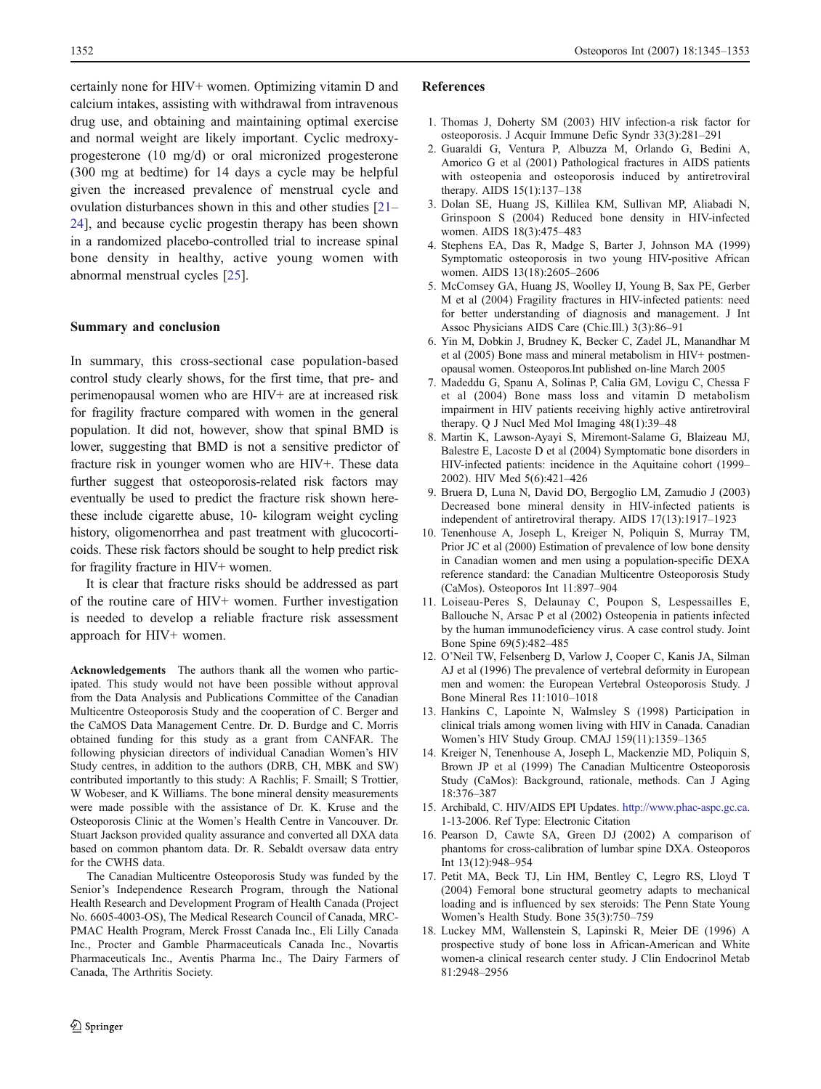1352 Osteoporos Int (2007) 18:1345–1353

certainly none for HIV+ women. Optimizing vitamin D and calcium intakes, assisting with withdrawal from intravenous drug use, and obtaining and maintaining optimal exercise and normal weight are likely important. Cyclic medroxyprogesterone (10 mg/d) or oral micronized progesterone (300 mg at bedtime) for 14 days a cycle may be helpful given the increased prevalence of menstrual cycle and ovulation disturbances shown in this and other studies [21– 24], and because cyclic progestin therapy has been shown in a randomized placebo-controlled trial to increase spinal bone density in healthy, active young women with abnormal menstrual cycles [25].

# Summary and conclusion

In summary, this cross-sectional case population-based control study clearly shows, for the first time, that pre- and perimenopausal women who are HIV+ are at increased risk for fragility fracture compared with women in the general population. It did not, however, show that spinal BMD is lower, suggesting that BMD is not a sensitive predictor of fracture risk in younger women who are HIV+. These data further suggest that osteoporosis-related risk factors may eventually be used to predict the fracture risk shown herethese include cigarette abuse, 10- kilogram weight cycling history, oligomenorrhea and past treatment with glucocorticoids. These risk factors should be sought to help predict risk for fragility fracture in HIV+ women.

It is clear that fracture risks should be addressed as part of the routine care of HIV+ women. Further investigation is needed to develop a reliable fracture risk assessment approach for HIV+ women.

Acknowledgements The authors thank all the women who participated. This study would not have been possible without approval from the Data Analysis and Publications Committee of the Canadian Multicentre Osteoporosis Study and the cooperation of C. Berger and the CaMOS Data Management Centre. Dr. D. Burdge and C. Morris obtained funding for this study as a grant from CANFAR. The following physician directors of individual Canadian Women's HIV Study centres, in addition to the authors (DRB, CH, MBK and SW) contributed importantly to this study: A Rachlis; F. Smaill; S Trottier, W Wobeser, and K Williams. The bone mineral density measurements were made possible with the assistance of Dr. K. Kruse and the Osteoporosis Clinic at the Women's Health Centre in Vancouver. Dr. Stuart Jackson provided quality assurance and converted all DXA data based on common phantom data. Dr. R. Sebaldt oversaw data entry for the CWHS data.

The Canadian Multicentre Osteoporosis Study was funded by the Senior's Independence Research Program, through the National Health Research and Development Program of Health Canada (Project No. 6605-4003-OS), The Medical Research Council of Canada, MRC-PMAC Health Program, Merck Frosst Canada Inc., Eli Lilly Canada Inc., Procter and Gamble Pharmaceuticals Canada Inc., Novartis Pharmaceuticals Inc., Aventis Pharma Inc., The Dairy Farmers of Canada, The Arthritis Society.

# References

- 1. Thomas J, Doherty SM (2003) HIV infection-a risk factor for osteoporosis. J Acquir Immune Defic Syndr 33(3):281–291
- 2. Guaraldi G, Ventura P, Albuzza M, Orlando G, Bedini A, Amorico G et al (2001) Pathological fractures in AIDS patients with osteopenia and osteoporosis induced by antiretroviral therapy. AIDS 15(1):137–138
- 3. Dolan SE, Huang JS, Killilea KM, Sullivan MP, Aliabadi N, Grinspoon S (2004) Reduced bone density in HIV-infected women. AIDS 18(3):475–483
- 4. Stephens EA, Das R, Madge S, Barter J, Johnson MA (1999) Symptomatic osteoporosis in two young HIV-positive African women. AIDS 13(18):2605–2606
- 5. McComsey GA, Huang JS, Woolley IJ, Young B, Sax PE, Gerber M et al (2004) Fragility fractures in HIV-infected patients: need for better understanding of diagnosis and management. J Int Assoc Physicians AIDS Care (Chic.Ill.) 3(3):86–91
- 6. Yin M, Dobkin J, Brudney K, Becker C, Zadel JL, Manandhar M et al (2005) Bone mass and mineral metabolism in HIV+ postmenopausal women. Osteoporos.Int published on-line March 2005
- 7. Madeddu G, Spanu A, Solinas P, Calia GM, Lovigu C, Chessa F et al (2004) Bone mass loss and vitamin D metabolism impairment in HIV patients receiving highly active antiretroviral therapy. Q J Nucl Med Mol Imaging 48(1):39–48
- 8. Martin K, Lawson-Ayayi S, Miremont-Salame G, Blaizeau MJ, Balestre E, Lacoste D et al (2004) Symptomatic bone disorders in HIV-infected patients: incidence in the Aquitaine cohort (1999– 2002). HIV Med 5(6):421–426
- 9. Bruera D, Luna N, David DO, Bergoglio LM, Zamudio J (2003) Decreased bone mineral density in HIV-infected patients is independent of antiretroviral therapy. AIDS 17(13):1917–1923
- 10. Tenenhouse A, Joseph L, Kreiger N, Poliquin S, Murray TM, Prior JC et al (2000) Estimation of prevalence of low bone density in Canadian women and men using a population-specific DEXA reference standard: the Canadian Multicentre Osteoporosis Study (CaMos). Osteoporos Int 11:897–904
- 11. Loiseau-Peres S, Delaunay C, Poupon S, Lespessailles E, Ballouche N, Arsac P et al (2002) Osteopenia in patients infected by the human immunodeficiency virus. A case control study. Joint Bone Spine 69(5):482–485
- 12. O'Neil TW, Felsenberg D, Varlow J, Cooper C, Kanis JA, Silman AJ et al (1996) The prevalence of vertebral deformity in European men and women: the European Vertebral Osteoporosis Study. J Bone Mineral Res 11:1010–1018
- 13. Hankins C, Lapointe N, Walmsley S (1998) Participation in clinical trials among women living with HIV in Canada. Canadian Women's HIV Study Group. CMAJ 159(11):1359–1365
- 14. Kreiger N, Tenenhouse A, Joseph L, Mackenzie MD, Poliquin S, Brown JP et al (1999) The Canadian Multicentre Osteoporosis Study (CaMos): Background, rationale, methods. Can J Aging 18:376–387
- 15. Archibald, C. HIV/AIDS EPI Updates. <http://www.phac-aspc.gc.ca>. 1-13-2006. Ref Type: Electronic Citation
- 16. Pearson D, Cawte SA, Green DJ (2002) A comparison of phantoms for cross-calibration of lumbar spine DXA. Osteoporos Int 13(12):948–954
- 17. Petit MA, Beck TJ, Lin HM, Bentley C, Legro RS, Lloyd T (2004) Femoral bone structural geometry adapts to mechanical loading and is influenced by sex steroids: The Penn State Young Women's Health Study. Bone 35(3):750–759
- 18. Luckey MM, Wallenstein S, Lapinski R, Meier DE (1996) A prospective study of bone loss in African-American and White women-a clinical research center study. J Clin Endocrinol Metab 81:2948–2956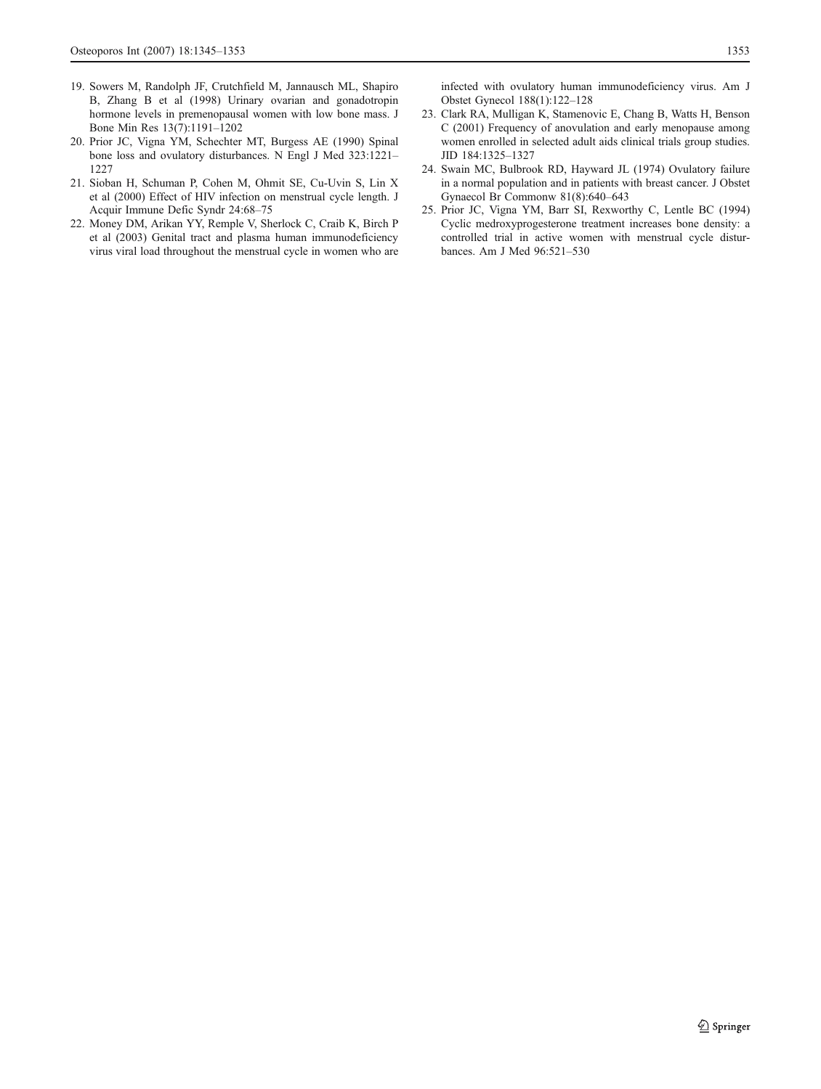- 19. Sowers M, Randolph JF, Crutchfield M, Jannausch ML, Shapiro B, Zhang B et al (1998) Urinary ovarian and gonadotropin hormone levels in premenopausal women with low bone mass. J Bone Min Res 13(7):1191–1202
- 20. Prior JC, Vigna YM, Schechter MT, Burgess AE (1990) Spinal bone loss and ovulatory disturbances. N Engl J Med 323:1221– 1227
- 21. Sioban H, Schuman P, Cohen M, Ohmit SE, Cu-Uvin S, Lin X et al (2000) Effect of HIV infection on menstrual cycle length. J Acquir Immune Defic Syndr 24:68–75
- 22. Money DM, Arikan YY, Remple V, Sherlock C, Craib K, Birch P et al (2003) Genital tract and plasma human immunodeficiency virus viral load throughout the menstrual cycle in women who are

infected with ovulatory human immunodeficiency virus. Am J Obstet Gynecol 188(1):122–128

- 23. Clark RA, Mulligan K, Stamenovic E, Chang B, Watts H, Benson C (2001) Frequency of anovulation and early menopause among women enrolled in selected adult aids clinical trials group studies. JID 184:1325–1327
- 24. Swain MC, Bulbrook RD, Hayward JL (1974) Ovulatory failure in a normal population and in patients with breast cancer. J Obstet Gynaecol Br Commonw 81(8):640–643
- 25. Prior JC, Vigna YM, Barr SI, Rexworthy C, Lentle BC (1994) Cyclic medroxyprogesterone treatment increases bone density: a controlled trial in active women with menstrual cycle disturbances. Am J Med 96:521–530